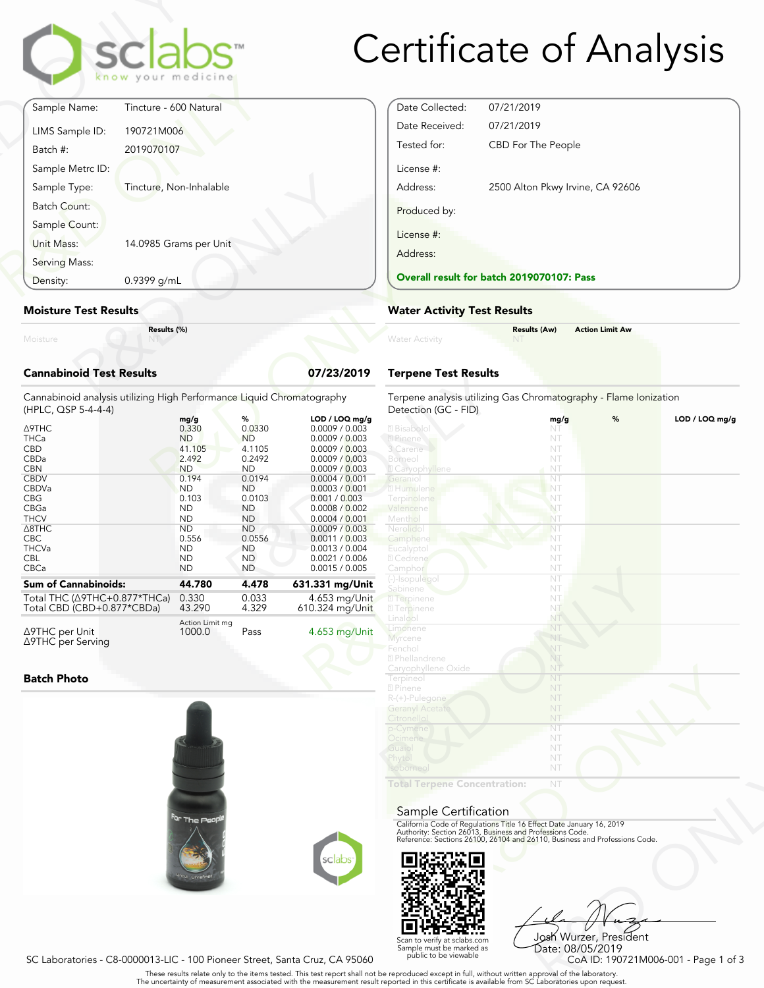

# Certificate of Analysis

|                                 | clabs                                        |            |
|---------------------------------|----------------------------------------------|------------|
|                                 | know your medicine<br>Tincture - 600 Natural |            |
| Sample Name:                    |                                              |            |
| LIMS Sample ID:                 | 190721M006                                   |            |
| Batch #:                        | 2019070107                                   |            |
| Sample Metrc ID:                |                                              |            |
| Sample Type:                    | Tincture, Non-Inhalable                      |            |
| Batch Count:                    |                                              |            |
| Sample Count:                   |                                              |            |
| Unit Mass:                      | 14.0985 Grams per Unit                       |            |
| Serving Mass:                   |                                              |            |
| Density:                        | 0.9399 g/mL                                  |            |
| <b>Moisture Test Results</b>    |                                              |            |
| Moisture                        | Results (%)                                  |            |
| <b>Cannabinoid Test Results</b> |                                              | 07/23/2019 |

### **Moisture Test Results**

### **Cannabinoid Test Results 07/23/2019**

| 0.9399 g/mL<br>Density:                                                                                                                                                                       |                                                                                                                                                                                  |                                                                                                                                                                                    |                                                                                                                                                                                                                                                                                             | <b>Overall result for batc</b>                                                                                                                                                                          |
|-----------------------------------------------------------------------------------------------------------------------------------------------------------------------------------------------|----------------------------------------------------------------------------------------------------------------------------------------------------------------------------------|------------------------------------------------------------------------------------------------------------------------------------------------------------------------------------|---------------------------------------------------------------------------------------------------------------------------------------------------------------------------------------------------------------------------------------------------------------------------------------------|---------------------------------------------------------------------------------------------------------------------------------------------------------------------------------------------------------|
| <b>Moisture Test Results</b>                                                                                                                                                                  | <b>Water Activity Test R</b>                                                                                                                                                     |                                                                                                                                                                                    |                                                                                                                                                                                                                                                                                             |                                                                                                                                                                                                         |
| Moisture                                                                                                                                                                                      | Results (%)                                                                                                                                                                      |                                                                                                                                                                                    |                                                                                                                                                                                                                                                                                             | <b>Water Activity</b>                                                                                                                                                                                   |
| <b>Cannabinoid Test Results</b>                                                                                                                                                               |                                                                                                                                                                                  |                                                                                                                                                                                    | 07/23/2019                                                                                                                                                                                                                                                                                  | <b>Terpene Test Results</b>                                                                                                                                                                             |
| Cannabinoid analysis utilizing High Performance Liquid Chromatography<br>(HPLC, QSP 5-4-4-4)                                                                                                  |                                                                                                                                                                                  |                                                                                                                                                                                    |                                                                                                                                                                                                                                                                                             | Terpene analysis utilizing<br>Detection (GC - FID)                                                                                                                                                      |
| Δ9THC<br><b>THCa</b><br><b>CBD</b><br>CBDa<br><b>CBN</b><br><b>CBDV</b><br>CBDVa<br><b>CBG</b><br>CBGa<br><b>THCV</b><br>$\triangle$ 8THC<br><b>CBC</b><br><b>THCVa</b><br><b>CBL</b><br>CBCa | mg/g<br>0.330<br><b>ND</b><br>41.105<br>2.492<br><b>ND</b><br>0.194<br><b>ND</b><br>0.103<br><b>ND</b><br><b>ND</b><br><b>ND</b><br>0.556<br><b>ND</b><br><b>ND</b><br><b>ND</b> | %<br>0.0330<br><b>ND</b><br>4.1105<br>0.2492<br><b>ND</b><br>0.0194<br><b>ND</b><br>0.0103<br><b>ND</b><br><b>ND</b><br><b>ND</b><br>0.0556<br><b>ND</b><br><b>ND</b><br><b>ND</b> | LOD / LOQ mg/g<br>0.0009 / 0.003<br>0.0009 / 0.003<br>0.0009 / 0.003<br>0.0009 / 0.003<br>0.0009 / 0.003<br>0.0004 / 0.001<br>0.0003 / 0.001<br>0.001 / 0.003<br>0.0008 / 0.002<br>0.0004 / 0.001<br>0.0009 / 0.003<br>0.0011 / 0.003<br>0.0013 / 0.004<br>0.0021 / 0.006<br>0.0015 / 0.005 | 2 Bisabolol<br>2 Pinene<br>3 Carene<br>Borneol<br><b>Z</b> Caryophyllene<br>Geranio<br>2 Humulene<br>Terpinolene<br>Valencene<br>Menthol<br>Nerolidol<br>Camphene<br>Eucalyptol<br>2 Cedrene<br>Camphor |
| <b>Sum of Cannabinoids:</b>                                                                                                                                                                   | 44.780                                                                                                                                                                           | 4.478                                                                                                                                                                              | 631.331 mg/Unit                                                                                                                                                                                                                                                                             | (-)-Isopulegol<br>Sabinene                                                                                                                                                                              |
| Total THC ( $\triangle$ 9THC+0.877*THCa)<br>Total CBD (CBD+0.877*CBDa)                                                                                                                        | 0.330<br>43.290                                                                                                                                                                  | 0.033<br>4.329                                                                                                                                                                     | 4.653 mg/Unit<br>610.324 mg/Unit                                                                                                                                                                                                                                                            | <b>7</b> Terpinene<br><b>7</b> Terpinene                                                                                                                                                                |
| ∆9THC per Unit<br>∆9THC per Serving                                                                                                                                                           | Action Limit mg<br>1000.0                                                                                                                                                        | Pass                                                                                                                                                                               | 4.653 mg/Unit                                                                                                                                                                                                                                                                               | Linalool<br>Limonene<br><b>Myrcene</b>                                                                                                                                                                  |

#### **Batch Photo**





Date Collected: 07/21/2019 Date Received: 07/21/2019 Tested for: CBD For The People License #: Address: 2500 Alton Pkwy Irvine, CA 92606 Produced by: License #: Address: **Overall result for batch 2019070107: Pass**

### **Water Activity Test Results**

|                | <b>Results (Aw)</b> | <b>Action Limit Aw</b> |  |
|----------------|---------------------|------------------------|--|
| Water Activity | <b>NT</b>           |                        |  |
|                |                     |                        |  |

## **Terpene Test Results**

| atography      | Terpene analysis utilizing Gas Chromatography - Flame Ionization<br>Detection (GC - FID)                                               |      |   |                |
|----------------|----------------------------------------------------------------------------------------------------------------------------------------|------|---|----------------|
| LOD / LOQ mg/g |                                                                                                                                        | mg/g | % | LOD / LOQ mg/g |
| 0.0009 / 0.003 | 2 Bisabolol                                                                                                                            | NT   |   |                |
| 0.0009 / 0.003 | 2 Pinene                                                                                                                               | NT   |   |                |
| 0.0009 / 0.003 | 3 Carene                                                                                                                               | NT   |   |                |
| 0.0009 / 0.003 | Borneol                                                                                                                                | NT   |   |                |
| 0.0009 / 0.003 | <b>Z</b> Caryophyllene                                                                                                                 | NT   |   |                |
| 0.0004 / 0.001 | Geranio                                                                                                                                | NT   |   |                |
| 0.0003 / 0.001 | 2 Humulene                                                                                                                             | NT   |   |                |
| 0.001 / 0.003  | Terpinolene                                                                                                                            | NT   |   |                |
| 0.0008 / 0.002 | Valencene                                                                                                                              | NT   |   |                |
| 0.0004 / 0.001 | Menthol                                                                                                                                | NT   |   |                |
| 0.0009 / 0.003 | Nerolido                                                                                                                               | NT   |   |                |
| 0.0011 / 0.003 | Camphene                                                                                                                               | NT   |   |                |
| 0.0013 / 0.004 | Eucalyptol                                                                                                                             | NT   |   |                |
| 0.0021 / 0.006 | 2 Cedrene                                                                                                                              | NT   |   |                |
| 0.0015 / 0.005 | Camphor                                                                                                                                | NT   |   |                |
|                | (-)-Isopulegol                                                                                                                         | NT   |   |                |
| 31.331 mg/Unit | Sabinene                                                                                                                               | NT   |   |                |
| 4.653 mg/Unit  | <b>7</b> Terpinene                                                                                                                     | NT   |   |                |
| 10.324 mg/Unit | <b>27 Terpinene</b>                                                                                                                    | NT   |   |                |
|                | Linalool                                                                                                                               | NT.  |   |                |
|                | Limonene                                                                                                                               | NT   |   |                |
| 4.653 mg/Unit  | <b>Myrcene</b>                                                                                                                         | NT   |   |                |
|                | Fenchol                                                                                                                                | NT   |   |                |
|                | 2 Phellandrene                                                                                                                         | NT   |   |                |
|                | Caryophyllene Oxide                                                                                                                    | NŤ   |   |                |
|                | Terpineol                                                                                                                              | NT   |   |                |
|                | 2 Pinene                                                                                                                               | NT   |   |                |
|                | R-(+)-Pulegone                                                                                                                         | NT   |   |                |
|                | <b>Geranyl Acetate</b>                                                                                                                 | NT   |   |                |
|                | Citronellol                                                                                                                            | NT   |   |                |
|                | p-Cymene                                                                                                                               | NT   |   |                |
|                | Ocimene                                                                                                                                | NT   |   |                |
|                | Guaiol                                                                                                                                 | NT   |   |                |
|                | Phytol                                                                                                                                 | NT   |   |                |
|                | <b>soborneo</b>                                                                                                                        | NT   |   |                |
|                |                                                                                                                                        |      |   |                |
|                | <b>Total Terpene Concentration:</b>                                                                                                    | NT   |   |                |
|                |                                                                                                                                        |      |   |                |
|                |                                                                                                                                        |      |   |                |
|                | Sample Certification                                                                                                                   |      |   |                |
|                | California Code of Regulations Title 16 Effect Date January 16, 2019                                                                   |      |   |                |
|                | Authority: Section 26013, Business and Professions Code.<br>Reference: Sections 26100, 26104 and 26110, Business and Professions Code. |      |   |                |
|                |                                                                                                                                        |      |   |                |
| sclabs         |                                                                                                                                        |      |   |                |
|                |                                                                                                                                        |      |   |                |
|                |                                                                                                                                        |      |   |                |

#### Sample Certification



NT<br>
NT<br>
Fect Date January 16, 2019<br>
rofessions Code.<br>
9110, Business and Professions Code.<br>
910, Business and Professions Code.<br>
9206 Wurzer, President<br>
Date: 08/05/2019<br>
CoA ID: 190721M006-001 - Page 1 of 3<br>
pproval of th Josh Wurzer, President Date: 08/05/2019

SC Laboratories - C8-0000013-LIC - 100 Pioneer Street, Santa Cruz, CA 95060

. These results relate only to the items tested. This test report shall not be reproduced except in full, without written approval of the laboratory.<br>The uncertainty of measurement associated with the measurement result re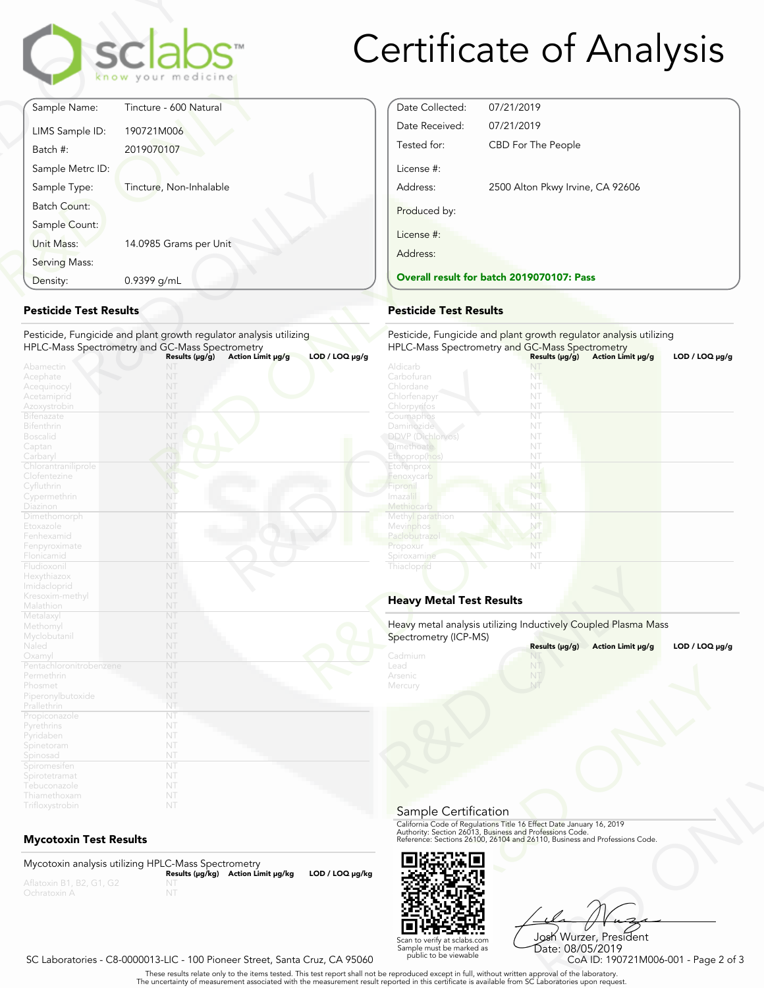

# Certificate of Analysis

Date Collected: 07/21/2019 Date Received: 07/21/2019

License #:

Produced by:

License #: Address:

Tested for: CBD For The People

**Overall result for batch 2019070107: Pass**

Address: 2500 Alton Pkwy Irvine, CA 92606

| Sample Name:        |                         |
|---------------------|-------------------------|
|                     | Tincture - 600 Natural  |
| LIMS Sample ID:     | 190721M006              |
| Batch #:            | 2019070107              |
| Sample Metrc ID:    |                         |
| Sample Type:        | Tincture, Non-Inhalable |
| <b>Batch Count:</b> |                         |
| Sample Count:       |                         |
| Unit Mass:          | 14.0985 Grams per Unit  |
| Serving Mass:       |                         |
| Density:            | 0.9399 g/mL             |

### **Pesticide Test Results**

| Density:                                                                            | 0.9399 g/mL                                                                                                           | <b>Overall result for batc</b>                                                           |
|-------------------------------------------------------------------------------------|-----------------------------------------------------------------------------------------------------------------------|------------------------------------------------------------------------------------------|
| <b>Pesticide Test Results</b>                                                       |                                                                                                                       | <b>Pesticide Test Results</b>                                                            |
|                                                                                     | Pesticide, Fungicide and plant growth regulator analysis utilizing<br>HPLC-Mass Spectrometry and GC-Mass Spectrometry | Pesticide, Fungicide and<br><b>HPLC-Mass Spectrometry</b>                                |
| Abamectin<br>Acephate<br>Acequinocyl<br>Acetamiprid                                 | Action Limit µg/g<br>Results $(\mu g/g)$<br>NT<br>NT<br>NT<br>NT                                                      | $LOD / LOQ \mu g/g$<br>Aldicarb<br>Carbofuran<br>Chlordane<br>Chlorfenapyr               |
| Azoxystrobin<br><b>Bifenazate</b><br><b>Bifenthrin</b><br><b>Boscalid</b><br>Captan | NT<br>NT<br>NT<br>NT<br>NT                                                                                            | Chlorpyrifos<br>Coumaphos<br>Daminozide<br><b>DDVP</b> (Dichlorvos)<br><b>Dimethoate</b> |
| Carbaryl<br>Chlorantraniliprole<br>Clofentezine<br>Cyfluthrin<br>Cypermethrin       | NT<br>NT<br>NT<br>NT.<br>NT                                                                                           | Ethoprop(hos)<br>Etofenprox<br>Fenoxycarb<br>Fipronil<br>Imaza i                         |
| Diazinon<br>Dimethomorph<br>Etoxazole<br>Fenhexamid<br>Fenpyroximate                | NT<br>NT<br>NT<br>NT<br>NT                                                                                            | Methiocarb<br>Methyl parathion<br>Mevinphos<br>Paclobutrazo<br>Propoxur                  |
| Flonicamid<br>Fludioxonil<br>Hexythiazox<br>Imidacloprid                            | NT<br>NT<br>NT<br>NT                                                                                                  | Spiroxamine<br>Thiacloprid                                                               |
| Kresoxim-methyl<br>Malathion<br>Metalaxyl                                           | NT<br>NT<br>NT                                                                                                        | <b>Heavy Metal Test Res</b>                                                              |
| Methomyl<br>Myclobutanil<br>Naled                                                   | NT<br>NT<br>NT                                                                                                        | Heavy metal analysis utiliz<br>Spectrometry (ICP-MS)                                     |
| Oxamyl<br>Pentachloronitrobenzene<br>Permethrin<br>Phosmet                          | NT<br>NT<br>NT<br>NT<br>NT                                                                                            | Cadmium<br>Lead<br>Arsenic<br>Mercury                                                    |
| Piperonylbutoxide<br>Prallethrin<br>Propiconazole<br>Pyrethrins<br>Pyridaben        | NT<br>NT<br>NT<br>NT                                                                                                  |                                                                                          |
| Spinetoram<br>Spinosad<br>Spiromesifen<br>Spirotetramat                             | NT<br>NT<br>NT<br>NT                                                                                                  |                                                                                          |
| Tebuconazole<br>Thiamethoxam<br>Trifloxystrobin                                     | NT<br>NT<br>NT                                                                                                        |                                                                                          |

# **Mycotoxin Test Results**

Mycotoxin analysis utilizing HPLC-Mass Spectrometry **Results (μg/kg) Action Limit μg/kg LOD / LOQ μg/kg** NT



Frect Date January 16, 2019<br>
Trofessions Code.<br>
110, Business and Professions Code.<br>
110, Business and Professions Code.<br>
108 Wurzzer, President<br>
Date: 08/05/2019<br>
CoA ID: 190721M006-001 - Page 2 of 3<br>
pproval of the labor Josh Wurzer, President Date: 08/05/2019<br>CoA ID: 190721M006-001 - Page 2 of 3

#### SC Laboratories - C8-0000013-LIC - 100 Pioneer Street, Santa Cruz, CA 95060

. These results relate only to the items tested. This test report shall not be reproduced except in full, without written approval of the laboratory.<br>The uncertainty of measurement associated with the measurement result re

Scan to verify at sclabs.com Sample must be marked as public to be viewable

Pesticide, Fungicide and plant growth regulator analysis utilizing HPLC-Mass Spectrometry and GC-Mass Spectrometry

| $LOD / LOQ \mu g/g$ |                                                                                         | Results (µg/g) | Action Limit µg/g | LOD / LOQ $\mu$ g/g |
|---------------------|-----------------------------------------------------------------------------------------|----------------|-------------------|---------------------|
|                     | Aldicarb                                                                                | NT             |                   |                     |
|                     | Carbofuran                                                                              | NT             |                   |                     |
|                     | Chlordane                                                                               | NT             |                   |                     |
|                     | Chlorfenapyr                                                                            | NT             |                   |                     |
|                     | Chlorpyrifos                                                                            | NT             |                   |                     |
|                     | Coumaphos                                                                               | NT             |                   |                     |
|                     | Daminozide                                                                              | NT             |                   |                     |
|                     | <b>DDVP</b> (Dichlorvos)                                                                | NT             |                   |                     |
|                     | <b>Dimethoate</b>                                                                       | NT             |                   |                     |
|                     | Ethoprop(hos)                                                                           | NT             |                   |                     |
|                     | Etofenprox                                                                              | NT             |                   |                     |
|                     | Fenoxycarb                                                                              | NT             |                   |                     |
|                     | Fipronil                                                                                | NT             |                   |                     |
|                     | Imazalil                                                                                | NT             |                   |                     |
|                     | Methiocarb                                                                              | NT             |                   |                     |
|                     | Methyl parathion                                                                        | NT             |                   |                     |
|                     | Mevinphos                                                                               | NT             |                   |                     |
|                     | Paclobutrazol                                                                           | NT             |                   |                     |
|                     | Propoxur                                                                                | NT             |                   |                     |
|                     | Spiroxamine                                                                             | NT             |                   |                     |
|                     | Thiacloprid                                                                             | NT             |                   |                     |
|                     | <b>Heavy Metal Test Results</b>                                                         |                |                   |                     |
|                     | Heavy metal analysis utilizing Inductively Coupled Plasma Mass<br>Spectrometry (ICP-MS) |                |                   |                     |
|                     |                                                                                         | Results (µg/g) | Action Limit µg/g | LOD / LOQ $\mu$ g/g |
|                     | Cadmium                                                                                 | NT             |                   |                     |
|                     | Lead                                                                                    | NT             |                   |                     |
|                     | Arsenic                                                                                 | NT             |                   |                     |
|                     | Mercury                                                                                 | NT             |                   |                     |

# **Heavy Metal Test Results**

|                                       | Results (µg/g)<br>Action Limit µg/g | LOD / LOQ $\mu$ g/g                                                                                                                                                                                            |
|---------------------------------------|-------------------------------------|----------------------------------------------------------------------------------------------------------------------------------------------------------------------------------------------------------------|
| Cadmium<br>Lead<br>Arsenic<br>Mercury |                                     |                                                                                                                                                                                                                |
| Sample Certification                  |                                     |                                                                                                                                                                                                                |
|                                       |                                     | California Code of Regulations Title 16 Effect Date January 16, 2019<br>Authority: Section 26013, Business and Professions Code.<br>Reference: Sections 26100, 26104 and 26110, Business and Professions Code. |